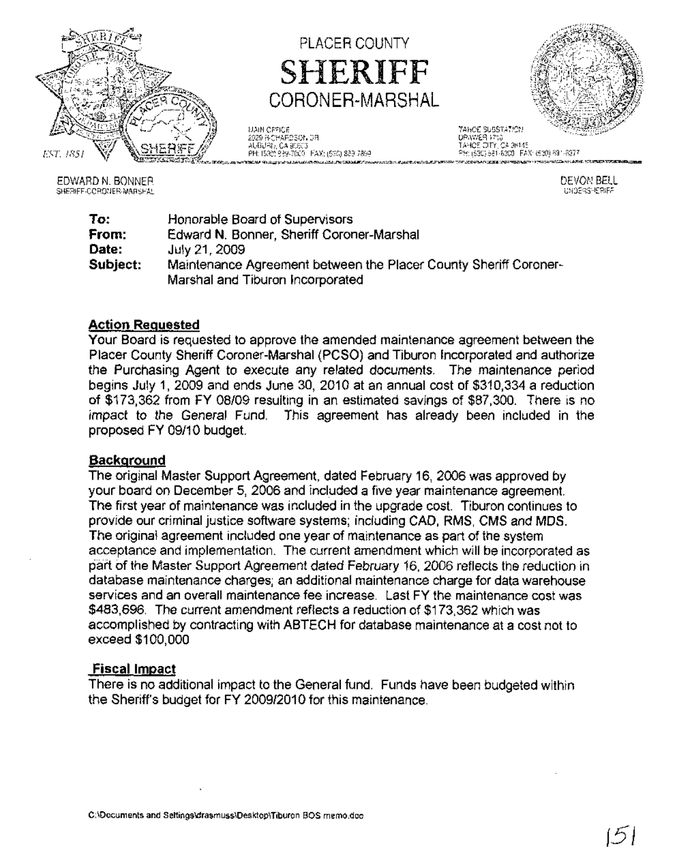

# PLACER COUNTY SHERIFF CORONER-MARSHAL

MAIN OFFICE TAHOE SUBSTATION 2929 RICHARDSON DR. DRAWER 1710 AUBURN. CA 95603 TAHOE CITY, CA 96145



EDWARD N, BONNER SHERIFF·CORONER·MARSHAL

DEVON BELL UNDERSHERIFF

| To:      | Honorable Board of Supervisors                                   |
|----------|------------------------------------------------------------------|
| From:    | Edward N. Bonner, Sheriff Coroner-Marshal                        |
| Date:    | July 21, 2009                                                    |
| Subject: | Maintenance Agreement between the Placer County Sheriff Coroner- |
|          | Marshal and Tiburon Incorporated                                 |

# **Action Requested**

Your Board is requested to approve the amended maintenance agreement between the Placer County Sheriff Coroner-Marshal (PCSO) and Tiburon Incorporated and authorize the Purchasing Agent to execute any related documents. The maintenance period begins July 1, 2009 and ends June 30, 2010 at an annual cost of \$310,334 a reduction of \$173,362 from FY 08/09 resulting in an estimated savings of \$87,300. There is no impact to the General Fund. This agreement has already been included in the proposed FY 09/10 budget.

# **Background**

The original Master Support Agreement, dated February 16,2006 was approved by your board on December 5, 2006 and included a five year maintenance agreement. The first year of maintenance was included in the upgrade cost. Tiburon continues to provide our criminal justice software systems; including CAD, RMS, CMS and MDS. The original agreement included one year of maintenance as part of the system acceptance and implementation. The current amendment which will be incorporated as part of the Master Support Agreement dated February 16, 2006 reflects the reduction in database maintenance charges; an additional maintenance charge for data warehouse services and an overall maintenance fee increase. Last FY the maintenance cost was \$483,696. The current amendment reflects a reduction of \$173,362 which was accomplished by contracting with ABTECH for database maintenance at a cost not to exceed \$100,000

# **Fiscal Impact**

There is no additional impact to the General fund. Funds have been budgeted within the Sheriff's budget for FY 2009/2010 for this maintenance.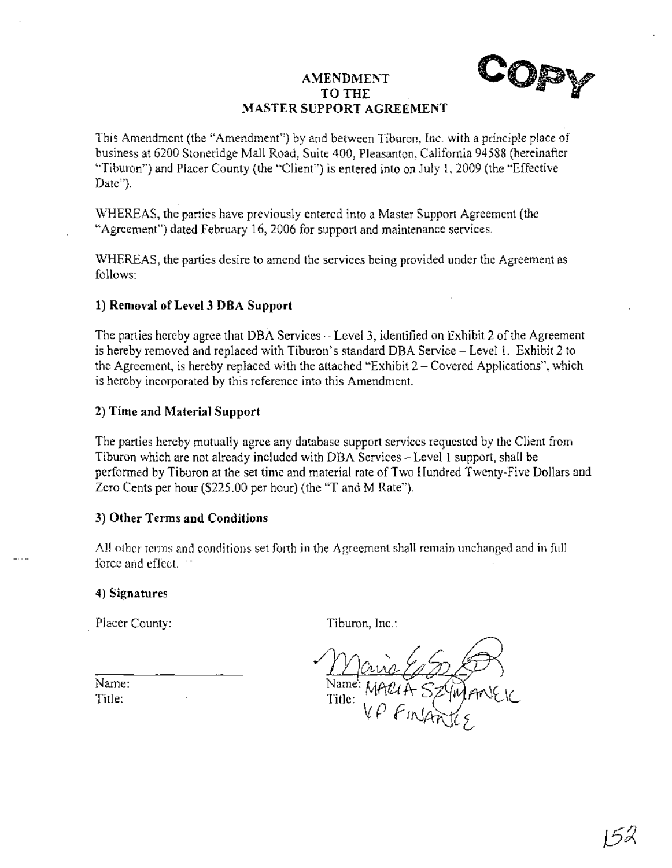# **AMENDMENT** TO THE **MASTER SUPPORT AGREEMENT**



This Amendment (the "Amendment") by and between Tiburon, Inc. with a principle place of business at 6200 Stoneridge Mall Road, Suite 400, Pleasanton, California 94588 (hereinafter "Tiburon") and Placer County (the "Client") is entered into on July 1,2009 (the "Effective Date").

WHEREAS, the parties have previously entered into a Master Support Agreement (the "Agreement") dated February 16,2006 for support and maintenance services.

WHEREAS, the parties desire to amend the services being provided under the Agreement as follows:

# **1) Removal** of Level 3 **nBA Support**

The parties hereby agree that DBA Services - Level 3, identified on Exhibit 2 of the Agreement is hereby removed and replaced with Tiburon's standard DBA Service - Level 1. Exhibit 2 to the Agreement, is hereby replaced with the attached "Exhibit  $2 -$ Covered Applications", which is hereby incorporated by this reference into this Amendment.

## **2) Time and Material Support**

The parties hereby mutually agree any database support services requested by the Client from Tiburon which are not already included with DBA Services - Level 1 support, shall be performed by Tiburon at the set time and material rate of Two Hundred Twenty-Five Dollars and Zero Cents per hour (\$225.00 per hour) (the "T and M Rate").

## **3) Other Terms and Conditions**

All other terms and conditions set forth in the Agreement shall remain unchanged and in full force and effect. "

## 4) **Signatures**

. Placer County:

Tiburon, Inc.:

Title:

Name: Title: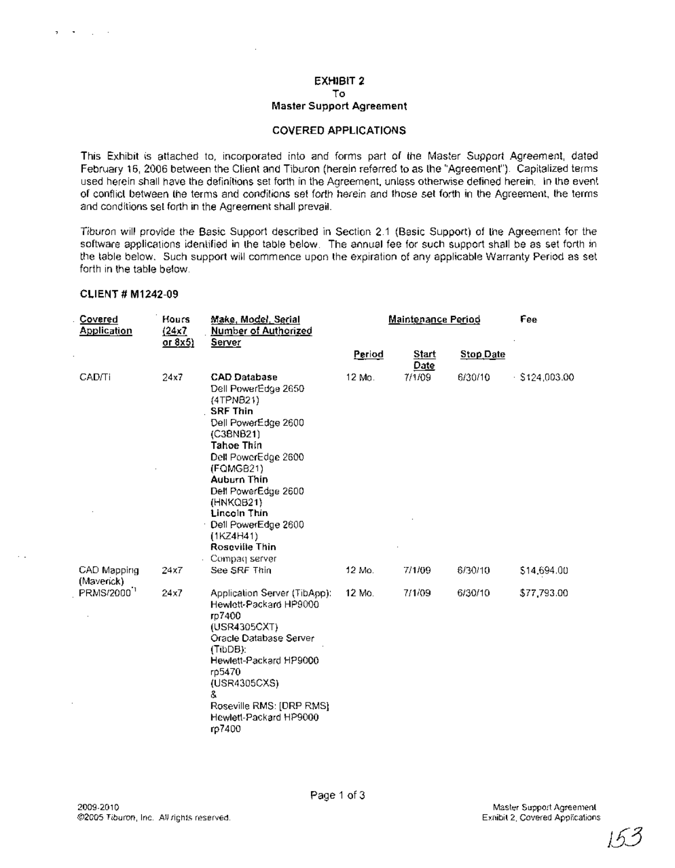#### EXHIBIT 2 To

## Master Support Agreement

#### COVERED APPLICATIONS

This Exhibit is attached to, incorporated into and forms part of the Master Support Agreement, dated February 16, 2006 between the Client and Tiburon (herein referred to as the "Agreement"). Capitalized terms used herein shall have the definitions set forth in the Agreement, unless otherwise defined herein. In the event of conflict between the terms and conditions set forth herein and those set forth in the Agreement, the terms and conditions set forth in the Agreement shall prevail.

Tiburon will provide the Basic Support described in Section 2.1 (Basic Support) of the Agreement for the software applications identified in the table below. The annual fee for such support shall be as set forth in the table below. Such support will commence upon the expiration of any applicable Warranty Period as set forth in the table below.

#### CLIENT # M1242-09

**CALCULUM** 

 $\overline{ }$ 

| <b>Covered</b><br><b>Application</b> | Hours<br>(24x7)<br>or 8x5) | Make, Model, Serial<br><b>Number of Authorized</b><br><u>Server</u>                                                                                                                                                                                                                                               | Maintenance Period |               |                  | Fee              |
|--------------------------------------|----------------------------|-------------------------------------------------------------------------------------------------------------------------------------------------------------------------------------------------------------------------------------------------------------------------------------------------------------------|--------------------|---------------|------------------|------------------|
|                                      |                            |                                                                                                                                                                                                                                                                                                                   | Period             | Start<br>Date | <b>Stop Date</b> |                  |
| CAD/Ti                               | 24x7                       | <b>CAD Database</b><br>Dell PowerEdge 2650<br>(4TPNB21)<br><b>SRF Thin</b><br>Dell PowerEdge 2600<br>(C3BNB21)<br><b>Tahoe Thin</b><br>Dell PowerEdge 2600<br>(FOMGB21)<br>Auburn Thin<br>Dell PowerEdge 2600<br>(HNKQB21)<br>Lincoln Thin<br>Dell PowerEdge 2600<br>(1KZ4H41)<br>Roscville Thin<br>Compaq server | 12 Mo.             | 7/1/09        | 6/30/10          | $-$ \$124,003.00 |
| CAD Mapping<br>(Maverick)            | 24x7                       | See SRF Thin                                                                                                                                                                                                                                                                                                      | 12 Mo.             | 7/1/09        | 6/30/10          | \$14,694.00      |
| PRMS/2000 <sup>1</sup>               | 24x7                       | Application Server (TibApp):<br>Hewlett-Packard HP9000<br>rp7400<br>(USR4305CXT)<br>Oracle Database Server<br>(TibDB):<br>Hewlett-Packard HP9000<br>rp5470<br>(USR4305CXS)<br>&.<br>Roseville RMS: [DRP RMS]<br>Hewlett-Packard HP9000<br>rp7400                                                                  | 12 Mo.             | 7/1/09        | 6/30/10          | \$77,793.00      |

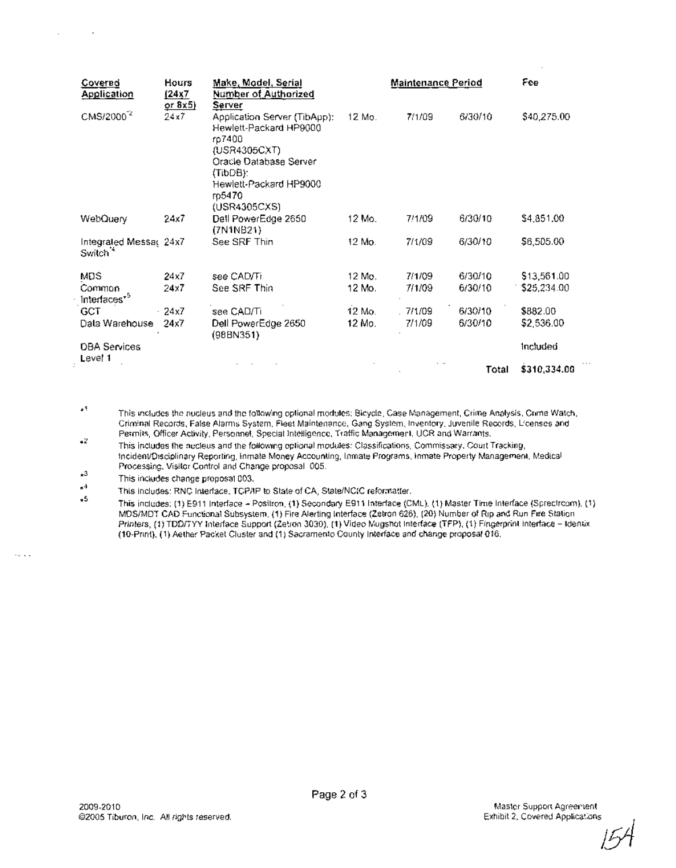| Covered<br><b>Application</b>                  | Hours<br><u>(24x7</u><br>or 8x5) | <u> Make, Model, Serial</u><br>Number of Authorized<br>Server                                                                                                               | <b>Maintenance Period</b> |          |         | Fee          |
|------------------------------------------------|----------------------------------|-----------------------------------------------------------------------------------------------------------------------------------------------------------------------------|---------------------------|----------|---------|--------------|
| CMS/2000 <sup>-2</sup>                         | 24x7.                            | Application Server (TibApp):<br>Hewlett-Packard HP9000<br>rp7400<br>(USR4305CXT)<br>Oracle Database Server<br>(TibDB):<br>Hewlett-Packard HP9000<br>rp5470<br>(USR4305CXS). | 12 Mo.                    | 7/1/09   | 6/30/10 | \$40,275.00  |
| WebQuery                                       | 24x7                             | Dell PowerEdge 2650<br>(7N1NB21)                                                                                                                                            | 12 Mo.                    | 7/1/09   | 6/30/10 | \$4,851.00   |
| Integrated Messar 24x7<br>Switch <sup>14</sup> |                                  | See SRF Thin                                                                                                                                                                | 12 Mo.                    | 7/1/09   | 6/30/10 | \$6,505.00   |
| MDS                                            | 24x7                             | see CAD/Ti                                                                                                                                                                  | 12 Mo.                    | 7/1/09   | 6/30/10 | \$13,561.00  |
| Common<br>Interfaces <sup>*5</sup>             | 24x7                             | See SRF Thin                                                                                                                                                                | 12 Mo.                    | 7/1/09   | 6/30/10 | \$25,234.00  |
| <b>GCT</b>                                     | $-24x7$                          | see CAD/Ti                                                                                                                                                                  | 12 Mo.                    | . 7/1/09 | 6/30/10 | \$882.00     |
| Dala Warehouse                                 | 24x7                             | Dell PowerEdge 2650<br>(98B N351)                                                                                                                                           | 12 Mp.                    | 7/1/09   | 6/30/10 | \$2,536.00   |
| <b>DBA Services</b><br>Level 1                 |                                  |                                                                                                                                                                             |                           |          |         | Included     |
|                                                |                                  |                                                                                                                                                                             |                           |          | Total   | \$310,334.00 |

 $\mathbf{r}^{\mathbf{q}}$ This includes the nucleus and the following optional modules; Bicycle, Case Management, Crime Analysis, Crime Watch, Criminal Records, False Alarms System, Fleet Maintenance, Gang System, Inventory, Juvenile Records, Licenses and Permits, Officer Activity, Personnel, Special Intelligence, Traffic Management, UCR and Warrants,

 $\bullet Z$ This includes the necteus and the following optional modules: Classifications, Commissary, Court Tracking, Incident/Disciplinary Reporting, Inmate Money Accounting, Inmate Programs, Inmate Property Management, Medical Processing, Visitor Control and Change proposal 005.

 $\star^3$ This includes change proposal 003.

 $\sim$ 

 $\cdot$ 

 $\mathbf{a}^{\mathrm{d}}$ This includes: RNC Interface, TCP/IP to State of CA, State/NC(C reformatter.

 $+5$ This includes: (1) E911 Interface - Positron, (1) Secondary E911 Interface (CML), (1) Master Time Interface (Sprectroam), (1) MDS/MDT CAD Functional Subsystem, (1) Fire Alerting Interface (Zetron 626), (20) Number of Rip and Run Fire Station Printers, (1) TDD/TYY Interface Support (Zetron 3030), (1) Video Mugshot Interface (TFP), (1) Fingerprint Interface - Identix (10-Print), (1) Aether Packet Cluster and (1) Sacramento County Interface and change proposal 016.

 $\sim$ 



 $\cdots$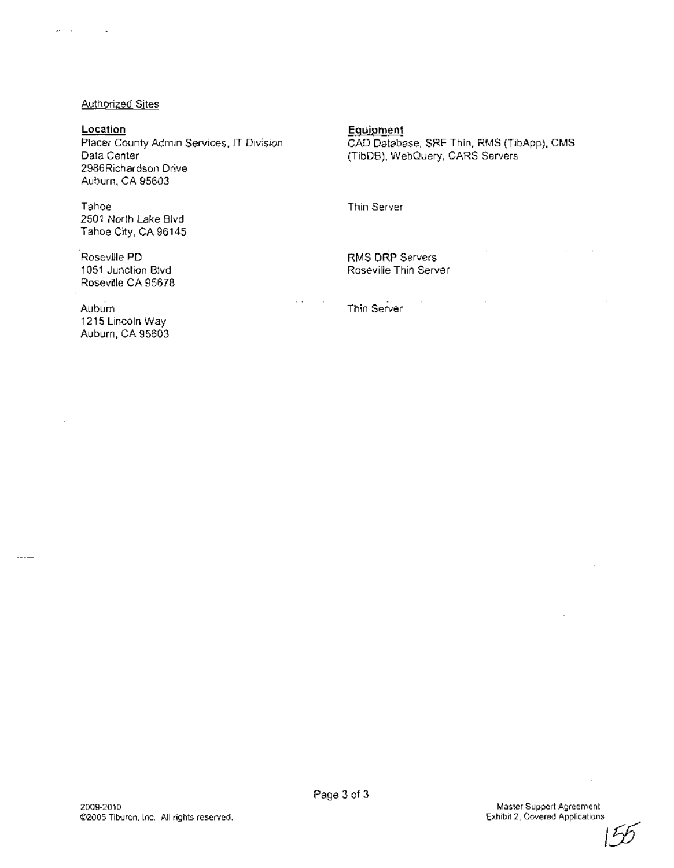#### Authorized Sites

# **Location**

 $\ddot{\phantom{a}}$ 

 $\omega = 1$ 

 $---$ 

Placer County Admin Services, IT Division Data Center 2986Richardson Drive . Auburn, CA 95603

Tahoe 2501 North Lake Blvd Tahoe City, CA 96145

Roseville PD 1051 Junction Blvd Roseville CA 95678

. Auburn 1215 Lincoln Way Auburn, CA 95603 Equipment

CAD Database, SRF Thin, RMS (TibApp), CMS (TibDB), WebQuery, CARS Servers

Thin Server

RMS DRP Servers Roseville Thin Server

Thin Server



 $\cdot$